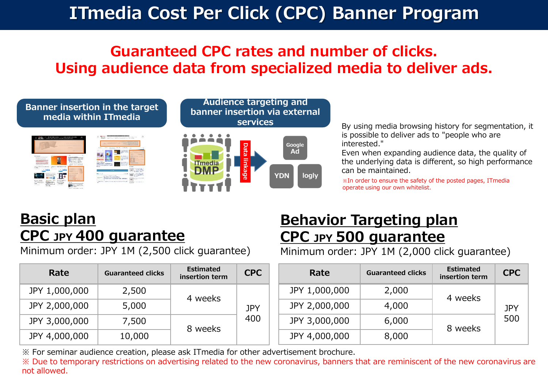# **ITmedia Cost Per Click (CPC) Banner Program**

## **Guaranteed CPC rates and number of clicks. Using audience data from specialized media to deliver ads.**

### **Banner insertion in the target media within ITmedia**



**Audience targeting and banner insertion via external services**



By using media browsing history for segmentation, it is possible to deliver ads to "people who are interested."

Even when expanding audience data, the quality of the underlying data is different, so high performance can be maintained.

※In order to ensure the safety of the posted pages, ITmedia operate using our own whitelist.

## **Basic plan CPC JPY 400 guarantee**

Minimum order: JPY 1M (2,500 click guarantee)

| Rate          | <b>Guaranteed clicks</b> | <b>Estimated</b><br>insertion term | <b>CPC</b> |
|---------------|--------------------------|------------------------------------|------------|
| JPY 1,000,000 | 2,500                    | 4 weeks                            |            |
| JPY 2,000,000 | 5,000                    |                                    | <b>JPY</b> |
| JPY 3,000,000 | 7,500                    | 400<br>8 weeks                     |            |
| JPY 4,000,000 | 10,000                   |                                    |            |

## **Behavior Targeting plan CPC JPY 500 guarantee**

Minimum order: JPY 1M (2,000 click guarantee)

| Rate          | <b>Guaranteed clicks</b> | <b>Estimated</b><br>insertion term | <b>CPC</b> |
|---------------|--------------------------|------------------------------------|------------|
| JPY 1,000,000 | 2,000                    | 4 weeks                            |            |
| JPY 2,000,000 | 4,000                    |                                    | <b>JPY</b> |
| JPY 3,000,000 | 6,000                    | 500<br>8 weeks                     |            |
| JPY 4,000,000 | 8,000                    |                                    |            |

※ For seminar audience creation, please ask ITmedia for other advertisement brochure.

※ Due to temporary restrictions on advertising related to the new coronavirus, banners that are reminiscent of the new coronavirus are not allowed.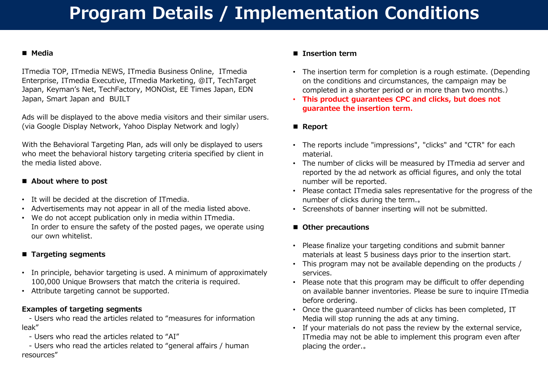# **Program Details / Implementation Conditions**

#### ■ **Media**

ITmedia TOP, ITmedia NEWS, ITmedia Business Online, ITmedia Enterprise, ITmedia Executive, ITmedia Marketing, @IT, TechTarget Japan, Keyman's Net, TechFactory, MONOist, EE Times Japan, EDN Japan, Smart Japan and BUILT

Ads will be displayed to the above media visitors and their similar users. (via Google Display Network, Yahoo Display Network and logly)

With the Behavioral Targeting Plan, ads will only be displayed to users who meet the behavioral history targeting criteria specified by client in the media listed above.

#### ■ About where to post

- It will be decided at the discretion of ITmedia.
- Advertisements may not appear in all of the media listed above.
- We do not accept publication only in media within ITmedia. In order to ensure the safety of the posted pages, we operate using our own whitelist.

### ■ Targeting segments

- In principle, behavior targeting is used. A minimum of approximately 100,000 Unique Browsers that match the criteria is required.
- Attribute targeting cannot be supported.

#### **Examples of targeting segments**

- Users who read the articles related to "measures for information leak"

- Users who read the articles related to "AI"
- Users who read the articles related to "general affairs / human resources"

#### ■ Insertion term

- The insertion term for completion is a rough estimate. (Depending on the conditions and circumstances, the campaign may be completed in a shorter period or in more than two months.)
- **This product guarantees CPC and clicks, but does not guarantee the insertion term.**

### ■ **Report**

- The reports include "impressions", "clicks" and "CTR" for each material.
- The number of clicks will be measured by ITmedia ad server and reported by the ad network as official figures, and only the total number will be reported.
- Please contact ITmedia sales representative for the progress of the number of clicks during the term.。
- Screenshots of banner inserting will not be submitted.

### ■ Other precautions

- Please finalize your targeting conditions and submit banner materials at least 5 business days prior to the insertion start.
- This program may not be available depending on the products / services.
- Please note that this program may be difficult to offer depending on available banner inventories. Please be sure to inquire ITmedia before ordering.
- Once the guaranteed number of clicks has been completed, IT Media will stop running the ads at any timing.
- If your materials do not pass the review by the external service, ITmedia may not be able to implement this program even after placing the order.。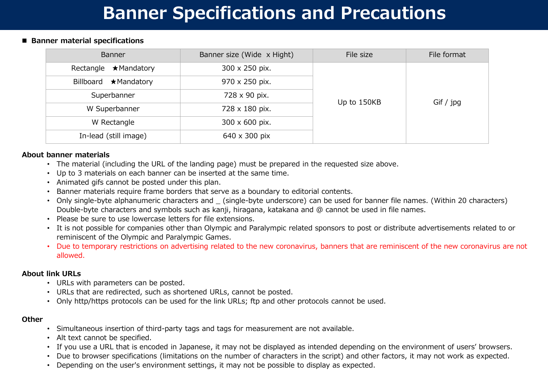# **Banner Specifications and Precautions**

#### ■ Banner material specifications

| <b>Banner</b>                  | Banner size (Wide x Hight) | File size   | File format |
|--------------------------------|----------------------------|-------------|-------------|
| $\star$ Mandatory<br>Rectangle | 300 x 250 pix.             |             |             |
| Billboard ★ Mandatory          | 970 x 250 pix.             |             |             |
| Superbanner                    | 728 x 90 pix.              | Up to 150KB | Gif / jpg   |
| W Superbanner                  | 728 x 180 pix.             |             |             |
| W Rectangle                    | 300 x 600 pix.             |             |             |
| In-lead (still image)          | 640 x 300 pix              |             |             |

#### **About banner materials**

- The material (including the URL of the landing page) must be prepared in the requested size above.
- Up to 3 materials on each banner can be inserted at the same time.
- Animated gifs cannot be posted under this plan.
- Banner materials require frame borders that serve as a boundary to editorial contents.
- Only single-byte alphanumeric characters and \_ (single-byte underscore) can be used for banner file names. (Within 20 characters) Double-byte characters and symbols such as kanji, hiragana, katakana and @ cannot be used in file names.
- Please be sure to use lowercase letters for file extensions.
- It is not possible for companies other than Olympic and Paralympic related sponsors to post or distribute advertisements related to or reminiscent of the Olympic and Paralympic Games.
- Due to temporary restrictions on advertising related to the new coronavirus, banners that are reminiscent of the new coronavirus are not allowed.

#### **About link URLs**

- URLs with parameters can be posted.
- URLs that are redirected, such as shortened URLs, cannot be posted.
- Only http/https protocols can be used for the link URLs; ftp and other protocols cannot be used.

#### **Other**

- Simultaneous insertion of third-party tags and tags for measurement are not available.
- Alt text cannot be specified.
- If you use a URL that is encoded in Japanese, it may not be displayed as intended depending on the environment of users' browsers.
- Due to browser specifications (limitations on the number of characters in the script) and other factors, it may not work as expected.
- Depending on the user's environment settings, it may not be possible to display as expected.